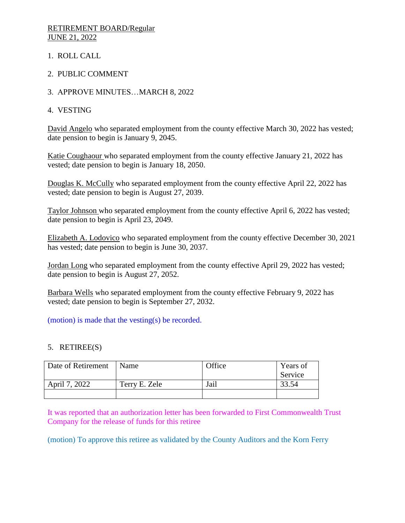### RETIREMENT BOARD/Regular JUNE 21, 2022

- 1. ROLL CALL
- 2. PUBLIC COMMENT
- 3. APPROVE MINUTES…MARCH 8, 2022
- 4. VESTING

David Angelo who separated employment from the county effective March 30, 2022 has vested; date pension to begin is January 9, 2045.

Katie Coughaour who separated employment from the county effective January 21, 2022 has vested; date pension to begin is January 18, 2050.

Douglas K. McCully who separated employment from the county effective April 22, 2022 has vested; date pension to begin is August 27, 2039.

Taylor Johnson who separated employment from the county effective April 6, 2022 has vested; date pension to begin is April 23, 2049.

Elizabeth A. Lodovico who separated employment from the county effective December 30, 2021 has vested; date pension to begin is June 30, 2037.

Jordan Long who separated employment from the county effective April 29, 2022 has vested; date pension to begin is August 27, 2052.

Barbara Wells who separated employment from the county effective February 9, 2022 has vested; date pension to begin is September 27, 2032.

(motion) is made that the vesting(s) be recorded.

### 5. RETIREE(S)

| Date of Retirement | Name          | Office | Years of |
|--------------------|---------------|--------|----------|
|                    |               |        | Service  |
| April 7, 2022      | Terry E. Zele | Jail   | 33.54    |
|                    |               |        |          |

It was reported that an authorization letter has been forwarded to First Commonwealth Trust Company for the release of funds for this retiree

(motion) To approve this retiree as validated by the County Auditors and the Korn Ferry